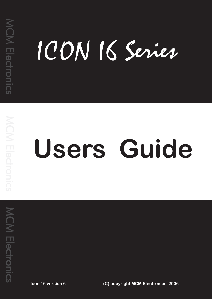# ICON I6 Series

# **Users Guide**

 **Icon 16 version 6 (C) copyright MCM Electronics 2006**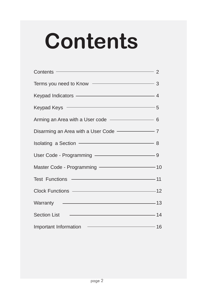# **Contents**

| $Contents$ $2$                                     |  |
|----------------------------------------------------|--|
| Terms you need to Know - 3                         |  |
| Keypad Indicators - 4                              |  |
| Keypad Keys – 5                                    |  |
| Arming an Area with a User code - 6                |  |
| Disarming an Area with a User Code - 7             |  |
| Isolating a Section <u>example and a section</u> 8 |  |
|                                                    |  |
| Master Code - Programming - 10                     |  |
| Test Functions —————————————————11                 |  |
| Clock Functions ————————————————12                 |  |
|                                                    |  |
| Section List 2008 2014                             |  |
| Important Information – 16                         |  |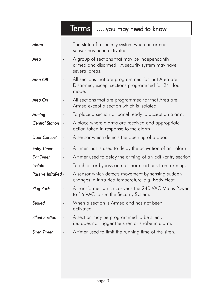# Terms .....you may need to know

| <b>Alarm</b>           |                          | The state of a security system when an armed<br>sensor has been activated.                                        |  |
|------------------------|--------------------------|-------------------------------------------------------------------------------------------------------------------|--|
| Area                   |                          | A group of sections that may be independantly<br>armed and disarmed. A security system may have<br>several areas. |  |
| Area Off               |                          | All sections that are programmed for that Area are<br>Disarmed, except sections programmed for 24 Hour<br>mode.   |  |
| Area On                |                          | All sections that are programmed for that Area are<br>Armed except a section which is isolated.                   |  |
| Arming                 |                          | To place a section or panel ready to accept an alarm.                                                             |  |
| <b>Central Station</b> |                          | A place where alarms are received and appropriate<br>action taken in response to the alarm.                       |  |
| <b>Door Contact</b>    | $\overline{\phantom{m}}$ | A sensor which detects the opening of a door.                                                                     |  |
| <b>Entry Timer</b>     |                          | A timer that is used to delay the activation of an alarm                                                          |  |
| <b>Exit Timer</b>      |                          | A timer used to delay the arming of an Exit / Entry section.                                                      |  |
| Isolate                |                          | To inhibit or bypass one or more sections from arming.                                                            |  |
| Passive InfraRed -     |                          | A sensor which detects movement by sensing sudden<br>changes in Infra Red temperature e.g. Body Heat              |  |
| <b>Plug Pack</b>       |                          | A transformer which converts the 240 VAC Mains Power<br>to 16 VAC to run the Security System.                     |  |
| Sealed                 |                          | When a section is Armed and has not been<br>activated.                                                            |  |
| <b>Silent Section</b>  |                          | A section may be programmed to be silent.<br>i.e. does not trigger the siren or strobe in alarm.                  |  |
| <b>Siren Timer</b>     |                          | A timer used to limit the running time of the siren.                                                              |  |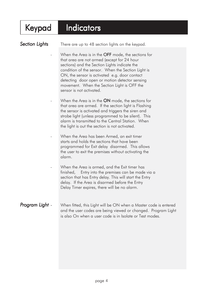# Keypad Indicators

**Section Lights Section**  There are up to 48 section lights on the keypad.

When the Area is in the  $OFF$  mode, the sections for that area are not armed (except for 24 hour sections) and the Section Lights indicate the condition of the sensor. When the Section Light is ON, the sensor is activated e.g. door contact detecting door open or motion detector sensing movement. When the Section Light is OFF the sensor is not activated.

When the Area is in the **ON** mode, the sections for that area are armed. If the section light is Flashing the sensor is activated and triggers the siren and strobe light (unless programmed to be silent). This alarm is transmitted to the Central Station. When the light is out the section is not activated.

When the Area has been Armed, an exit timer starts and holds the sections that have been programmed for Exit delay disarmed. This allows the user to exit the premises without activating the alarm.

When the Area is armed, and the Exit timer has finished, Entry into the premises can be made via a section that has Entry delay. This will start the Entry delay. If the Area is disarmed before the Entry Delay Timer expires, there will be no alarm.

## **Program Light -** When fitted, this Light will be ON when a Master code is entered and the user codes are being viewed or changed. Program Light is also On when a user code is in Isolate or Test modes.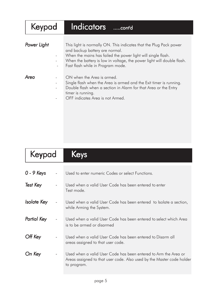| Keypad      | Indicators<br>$\overline{\ldots}$ .cont'd                                                                                                                                                                                                                                                                       |
|-------------|-----------------------------------------------------------------------------------------------------------------------------------------------------------------------------------------------------------------------------------------------------------------------------------------------------------------|
| Power Light | This light is normally ON. This indicates that the Plug Pack power<br>and backup battery are normal.<br>When the mains has failed the power light will single flash.<br>When the battery is low in voltage, the power light will double flash.<br>Fast flash while in Program mode.<br>$\overline{\phantom{m}}$ |
| Area        | ON when the Area is armed.<br>Single flash when the Area is armed and the Exit timer is running.<br>Double flash when a section in Alarm for that Area or the Entry<br>timer is running.<br>OFF indicates Area is not Armed.                                                                                    |

# Keypad Keys

| $0 - 9$ Keys       | Used to enter numeric Codes or select Functions.                                                                                                        |  |
|--------------------|---------------------------------------------------------------------------------------------------------------------------------------------------------|--|
| <b>Test Key</b>    | Used when a valid User Code has been entered to enter<br>Test mode.                                                                                     |  |
| <b>Isolate Key</b> | Used when a valid User Code has been entered to Isolate a section,<br>while Arming the System.                                                          |  |
| <b>Partial Key</b> | Used when a valid User Code has been entered to select which Area<br>is to be armed or disarmed                                                         |  |
| Off Key            | Used when a valid User Code has been entered to Disarm all<br>areas assigned to that user code.                                                         |  |
| On Key             | Used when a valid User Code has been entered to Arm the Area or<br>Areas assigned to that user code. Also used by the Master code holder<br>to program. |  |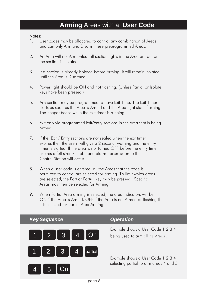# **Arming** Areas with a **User Code**

### Notes:

- 1. User codes may be allocated to control any combination of Areas and can only Arm and Disarm these preprogrammed Areas.
- 2. An Area will not Arm unless all section lights in the Area are out or the section is Isolated.
- 3. If a Section is already Isolated before Arming, it will remain Isolated until the Area is Disarmed.
- 4. Power light should be ON and not flashing. (Unless Partial or Isolate keys have been pressed.)
- 5. Any section may be programmed to have Exit Time. The Exit Timer starts as soon as the Area is Armed and the Area light starts flashing. The beeper beeps while the Exit timer is running.
- 6. Exit only via programmed Exit/Entry sections in the area that is being Armed.
- 7. If the Exit / Entry sections are not sealed when the exit timer expires then the siren will give a 2 second warning and the entry timer is started. If the area is not turned OFF before the entry time expires a full siren / strobe and alarm transmission to the Central Station will occur.
- 8. When a user code is entered, all the Areas that the code is permitted to control are selected for arming. To limit which areas are selected, the Part or Partial key may be pressed. Specific Areas may then be selected for Arming.
- 9. When Partial Area arming is selected, the area indicators will be ON if the Area is Armed, OFF if the Area is not Armed or flashing if it is selected for partial Area Arming.



Example shows a User Code 1 2 3 4

Example shows a User Code 1 2 3 4 selecting partial to arm areas 4 and 5.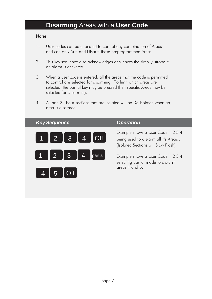# **Disarming** Areas with a **User Code**

- 1. User codes can be allocated to control any combination of Areas and can only Arm and Disarm these preprogrammed Areas.
- 2. This key sequence also acknowledges or silences the siren / strobe if an alarm is activated.
- 3. When a user code is entered, all the areas that the code is permitted to control are selected for disarming. To limit which areas are selected, the partial key may be pressed then specific Areas may be selected for Disarming.
- 4. All non 24 hour sections that are isolated will be De-Isolated when an area is disarmed.

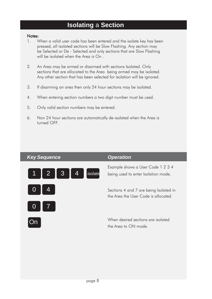# **Isolating** a **Section**

- 1. When a valid user code has been entered and the isolate key has been pressed, all isolated sections will be Slow Flashing. Any section may be Selected or De - Selected and only sections that are Slow Flashing will be isolated when the Area is On.
- 2. An Area may be armed or disarmed with sections Isolated. Only sections that are allocated to the Area being armed may be isolated. Any other section that has been selected for isolation will be ignored.
- 3. If disarming an area then only 24 hour sections may be isolated.
- 4. When entering section numbers a two digit number must be used.
- 5. Only valid section numbers may be entered.
- 6. Non 24 hour sections are automatically de-isolated when the Area is turned OFF.

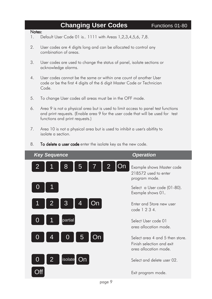# **Changing User Codes** Functions 01-80

- 1. Default User Code 01 is.. 1111 with Areas 1,2,3,4,5,6, 7,8.
- 2. User codes are 4 digits long and can be allocated to control any combination of areas.
- 3. User codes are used to change the status of panel, isolate sections or acknowledge alarms.
- 4. User codes cannot be the same or within one count of another User code or be the first 4 digits of the 6 digit Master Code or Technician Code.
- 5. To change User codes all areas must be in the OFF mode.
- 6. Area 9 is not a physical area but is used to limit access to panel test functions and print requests. (Enable area 9 for the user code that will be used for test functions and print requests.)
- 7. Area 10 is not a physical area but is used to inhibit a user's abitlity to isolate a section.
- 8. To delete a user code enter the isolate key as the new code.

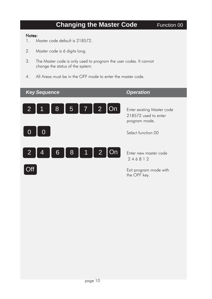# **Changing the Master Code** Function 00

- 1. Master code default is 218572.
- 2. Master code is 6 digits long.
- 3. The Master code is only used to program the user codes. It cannot change the status of the system.
- 4. All Areas must be in the OFF mode to enter the master code.

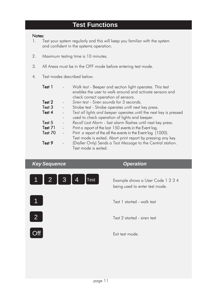# **Test Functions**

### Notes:

- 1. Test your system regularly and this will keep you familiar with the system and confident in the systems operation.
- 2. Maximum testing time is 10 minutes.
- 3. All Areas must be in the OFF mode before entering test mode.
- 4. Test modes described below.

| Test 1  |               | Walk test - Beeper and section light operates. This test<br>enables the user to walk around and activate sensors and<br>check correct operation of sensors. |
|---------|---------------|-------------------------------------------------------------------------------------------------------------------------------------------------------------|
| Test 2  |               | Siren test - Siren sounds for 3 seconds.                                                                                                                    |
|         |               |                                                                                                                                                             |
| Test 3  | $\frac{1}{2}$ | Strobe test - Strobe operates unitl next key press.                                                                                                         |
| Test 4  |               | Test all lights and beeper operates until the next key is pressed                                                                                           |
|         |               | used to check operation of lights and beeper.                                                                                                               |
| Test 5  |               | Recall Last Alarm - last alarm flashes until next key press.                                                                                                |
| Test 71 |               | Print a report of the last 150 events in the Event log.                                                                                                     |
| Test 70 |               | Print a report of the all the events in the Event log (1000).                                                                                               |
|         |               | Test mode is exited. Abort print report by pressing any key.                                                                                                |
| Test 9  |               | (Dialler Only) Sends a Test Message to the Central station.                                                                                                 |
|         |               | Test mode is exited.                                                                                                                                        |

*Key Sequence COPERTY COPERTY COPERTY OPERATION* 



being used to enter test mode.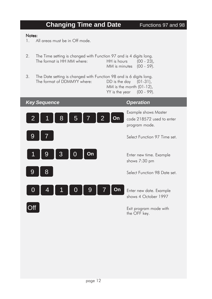# **Changing Time and Date** Functions 97 and 98 Notes: 1. All areas must be in Off mode. 2. The Time setting is changed with Function 97 and is 4 digits long. The format is HH MM where: HH is hours (00 - 23), MM is minutes (00 - 59). 3. The Date setting is changed with Function 98 and is 6 digits long. The format of DDMMYY where: DD is the day (01-31), MM is the month (01-12), YY is the year (00 - 99).

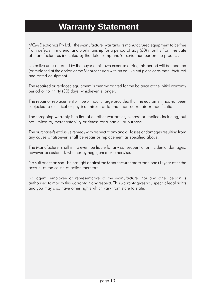# **Warranty Statement**

MCM Electronics Pty Ltd., the Manufacturer warrants its manufactured equipment to be free from defects in material and workmanship for a period of sixty (60) months from the date of manufacture as indicated by the date stamp and/or serial number on the product.

Defective units returned by the buyer at his own expense during this period will be repaired (or replaced at the option of the Manufacturer) with an equivalent piece of re-manufactured and tested equipment.

The repaired or replaced equipment is then warranted for the balance of the initial warranty period or for thirty (30) days, whichever is longer.

The repair or replacement will be without charge provided that the equipment has not been subjected to electrical or physical misuse or to unauthorised repair or modification.

The foregoing warranty is in lieu of all other warranties, express or implied, including, but not limited to, merchantability or fitness for a particular purpose.

The purchaser's exclusive remedy with respect to any and all losses or damages resulting from any cause whatsoever, shall be repair or replacement as specified above.

The Manufacturer shall in no event be liable for any consequential or incidental damages, however occasioned, whether by negligence or otherwise.

No suit or action shall be brought against the Manufacturer more than one (1) year after the accrual of the cause of action therefore.

No agent, employee or representative of the Manufacturer nor any other person is authorised to modify this warranty in any respect. This warranty gives you specific legal rights and you may also have other rights which vary from state to state.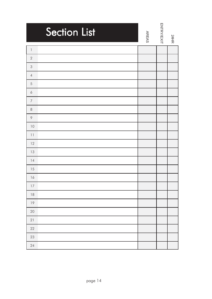| <b>Section List</b>              | <b>AREAS</b> | <b>ENTRY/EXIT</b> | 24HR |
|----------------------------------|--------------|-------------------|------|
| $\begin{array}{c} \n\end{array}$ |              |                   |      |
| $\sqrt{2}$                       |              |                   |      |
| $\mathsf 3$                      |              |                   |      |
| $\sqrt{4}$                       |              |                   |      |
| $\mathfrak s$                    |              |                   |      |
| $\acute{\rm{o}}$                 |              |                   |      |
| $\overline{7}$                   |              |                   |      |
| $\,8\,$                          |              |                   |      |
| $\, \varphi$                     |              |                   |      |
| 10                               |              |                   |      |
| 11                               |              |                   |      |
| 12                               |              |                   |      |
| 13                               |              |                   |      |
| 14                               |              |                   |      |
| 15                               |              |                   |      |
| 16                               |              |                   |      |
| $17\,$                           |              |                   |      |
| $\sqrt{8}$                       |              |                   |      |
| $19$                             |              |                   |      |
| $20\,$                           |              |                   |      |
| 21                               |              |                   |      |
| 22                               |              |                   |      |
| 23                               |              |                   |      |
| 24                               |              |                   |      |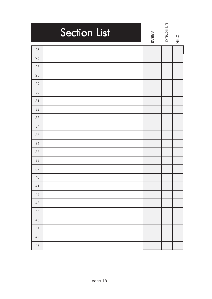| <b>Section List</b> | <b>AREAS</b> | <b>ENTRY/EXIT</b> | 24HR |
|---------------------|--------------|-------------------|------|
| 25                  |              |                   |      |
| 26                  |              |                   |      |
| $27\,$              |              |                   |      |
| 28                  |              |                   |      |
| 29                  |              |                   |      |
| 30                  |              |                   |      |
| 31                  |              |                   |      |
| 32                  |              |                   |      |
| 33                  |              |                   |      |
| 34                  |              |                   |      |
| 35                  |              |                   |      |
| 36                  |              |                   |      |
| 37                  |              |                   |      |
| 38                  |              |                   |      |
| 39                  |              |                   |      |
| 40                  |              |                   |      |
| $4\,$ l             |              |                   |      |
| $42\,$              |              |                   |      |
| $43\,$              |              |                   |      |
| $44$                |              |                   |      |
| $45\,$              |              |                   |      |
| $46\,$              |              |                   |      |
| $47\,$              |              |                   |      |
| $48\,$              |              |                   |      |